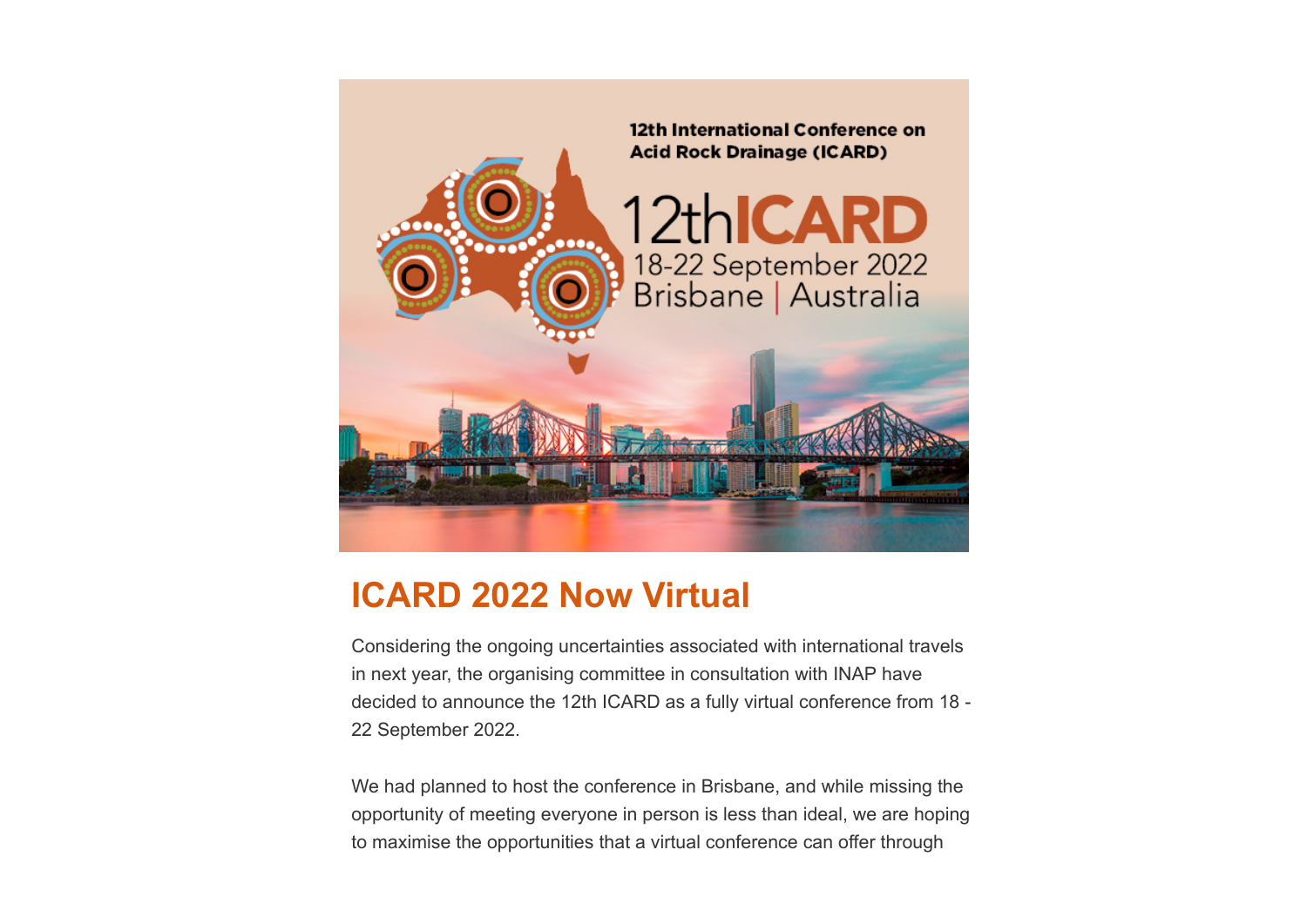

## **ICARD 2022 Now Virtual**

Considering the ongoing uncertainties associated with international travels in next year, the organising committee in consultation with INAP have decided to announce the 12th ICARD as a fully virtual conference from 18 - 22 September 2022.

We had planned to host the conference in Brisbane, and while missing the opportunity of meeting everyone in person is less than ideal, we are hoping to maximise the opportunities that a virtual conference can offer through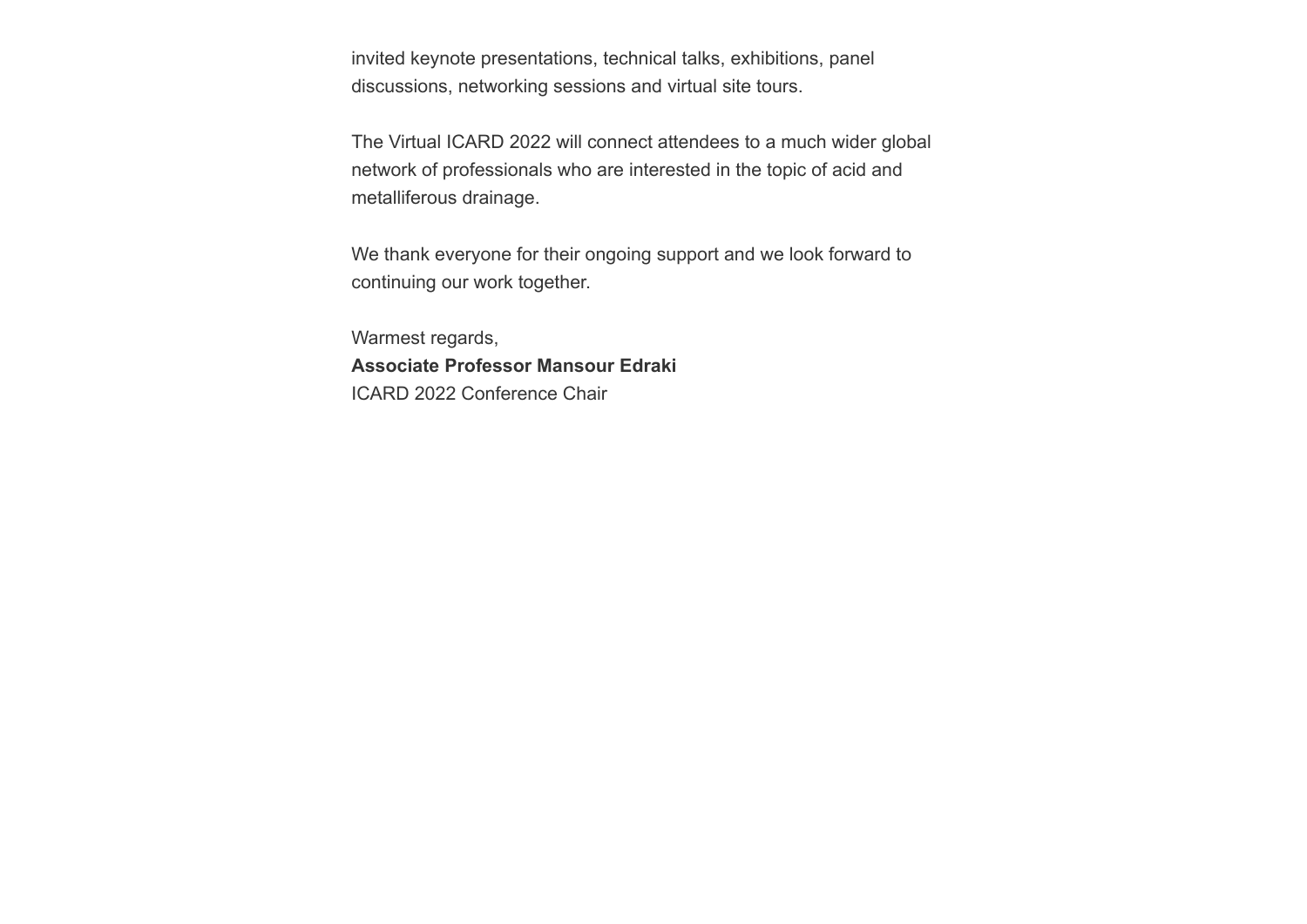invited keynote presentations, technical talks, exhibitions, panel discussions, networking sessions and virtual site tours.

The Virtual ICARD 2022 will connect attendees to a much wider global network of professionals who are interested in the topic of acid and metalliferous drainage.

We thank everyone for their ongoing support and we look forward to continuing our work together.

Warmest regards, **Associate Professor Mansour Edraki** ICARD 2022 Conference Chair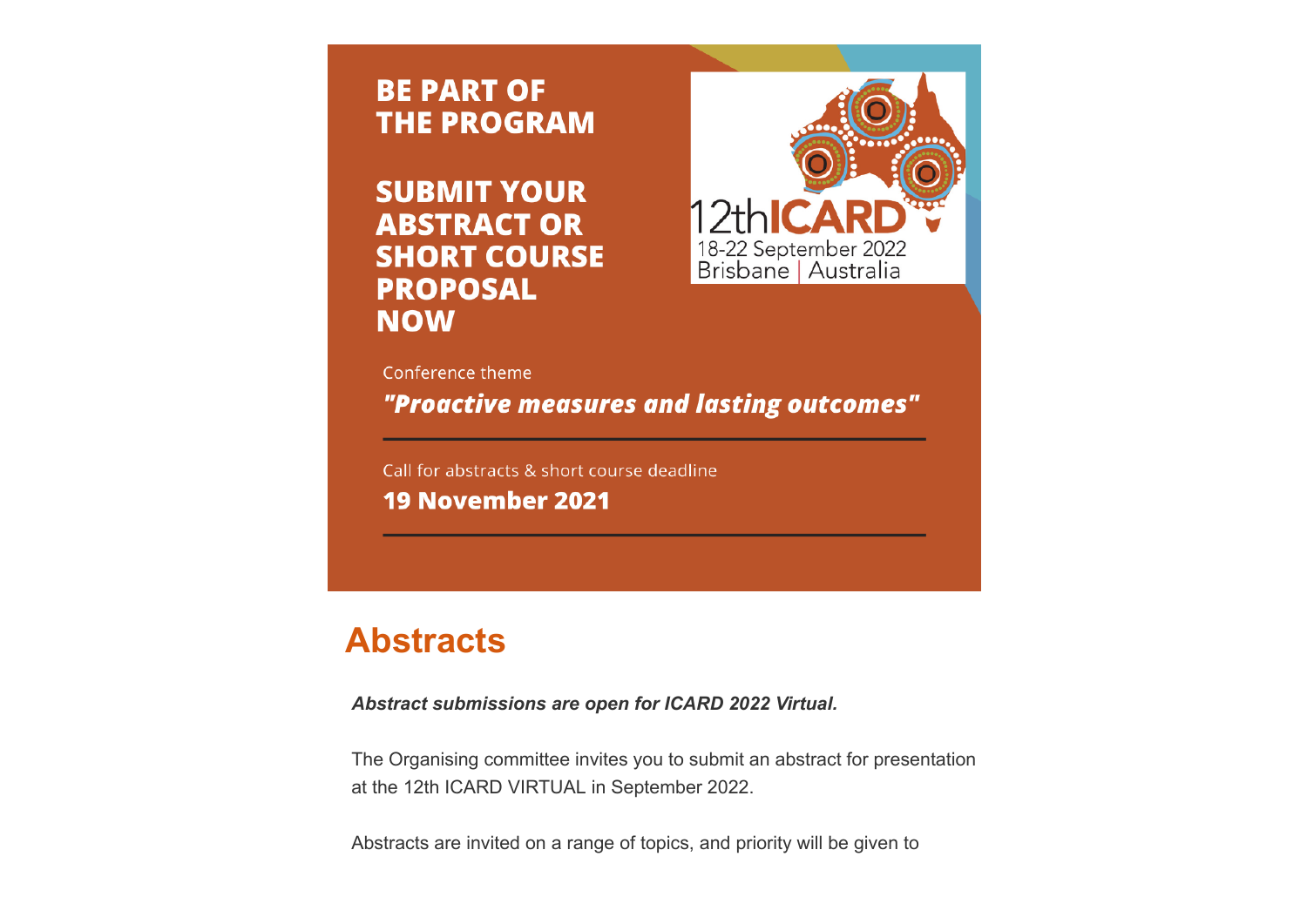**BE PART OF THE PROGRAM** 

**SUBMIT YOUR ABSTRACT OR SHORT COURSE PROPOSAL NOW** 



Conference theme

"Proactive measures and lasting outcomes"

Call for abstracts & short course deadline **19 November 2021** 

## **Abstracts**

*Abstract submissions are open for ICARD 2022 Virtual.*

The Organising committee invites you to submit an abstract for presentation at the 12th ICARD VIRTUAL in September 2022.

Abstracts are invited on a range of topics, and priority will be given to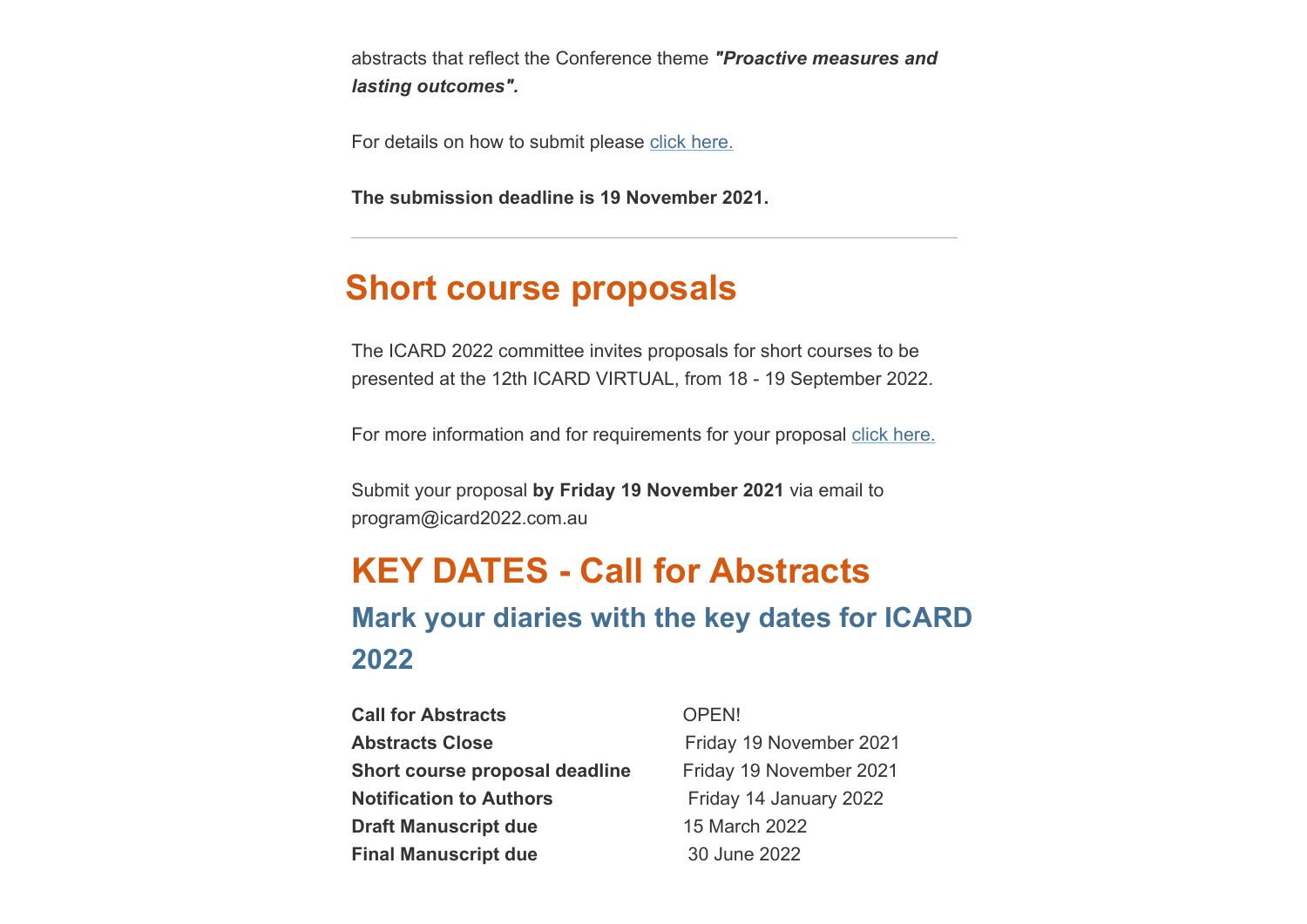abstracts that reflect the Conference theme *"Proactive measures and lasting outcomes".*

For details on how to submit please [click here.](https://www.icard2022.com.au/call-for-abstracts)

**The submission deadline is 19 November 2021.**

## **Short course proposals**

The ICARD 2022 committee invites proposals for short courses to be presented at the 12th ICARD VIRTUAL, from 18 - 19 September 2022.

For more information and for requirements for your proposal [click here.](https://www.icard2022.com.au/short-courses)

Submit your proposal **by Friday 19 November 2021** via email to program@icard2022.com.au

# **KEY DATES - Call for Abstracts Mark your diaries with the key dates for ICARD 2022**

| <b>Call for Abstracts</b>      | OPEN!  |
|--------------------------------|--------|
| <b>Abstracts Close</b>         | Friday |
| Short course proposal deadline | Friday |
| <b>Notification to Authors</b> | Friday |
| <b>Draft Manuscript due</b>    | 15 Mar |
| <b>Final Manuscript due</b>    | 30 Jun |

**Abstracts Close** Friday 19 November 2021 **Short course proposal deadline** Friday 19 November 2021 **Friday 14 January 2022** 5 March 2022 **i0 June 2022**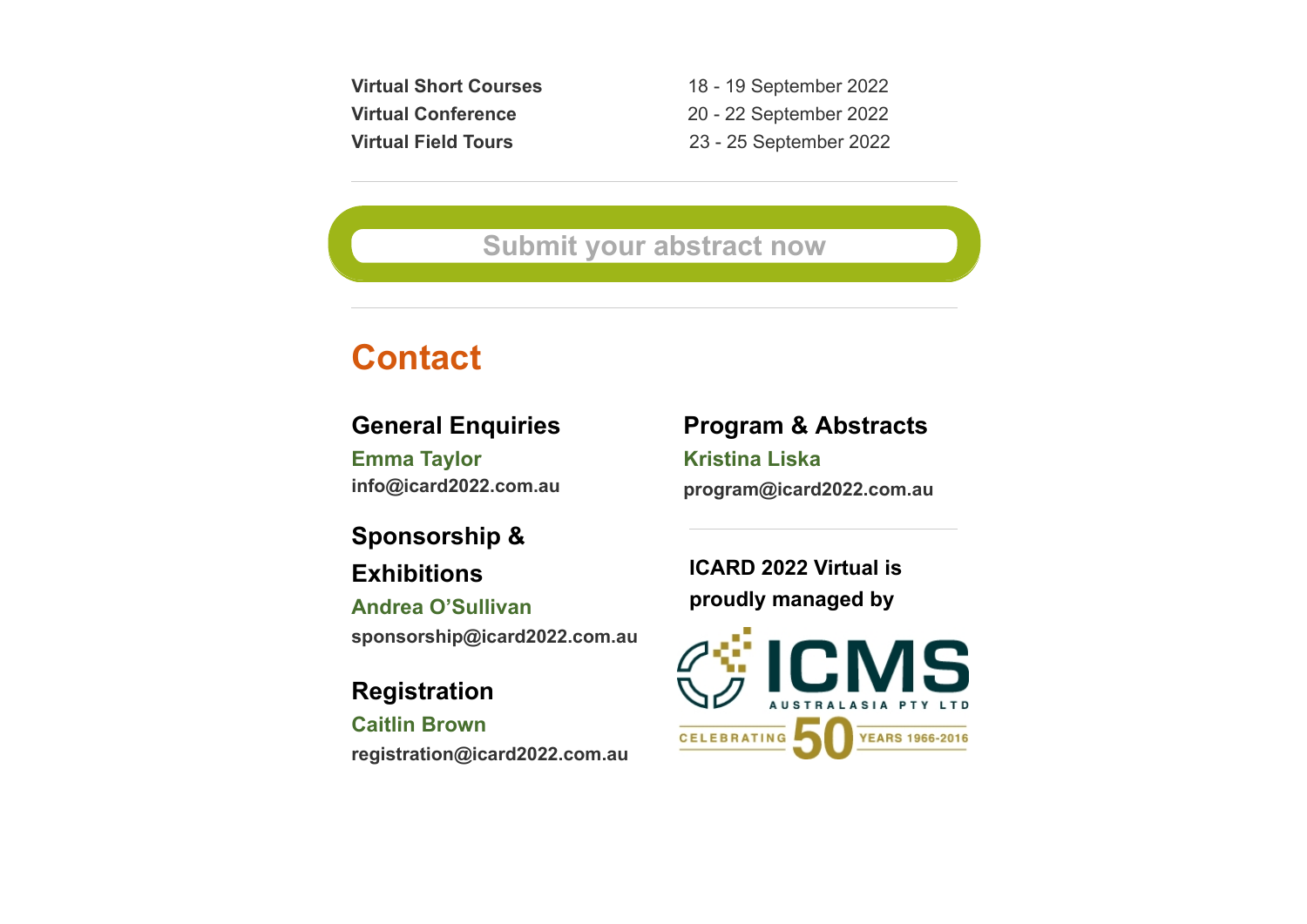**Virtual Short Courses** 18 - 19 September 2022 **Virtual Conference** 20 - 22 September 2022 **Virtual Field Tours** 23 - 25 September 2022

### **[Submit your abstract now](https://icmsaust.eventsair.com/icard2022/call-for-abstracts-portal)**

## **Contact**

#### **General Enquiries**

**Emma Taylor info@icard2022.com.au**

**Sponsorship &**

**Exhibitions**

**Andrea O'Sullivan sponsorship@icard2022.com.au**

**Registration**

**Caitlin Brown registration@icard2022.com.au** **Program & Abstracts**

**Kristina Liska program@icard2022.com.au**

**ICARD 2022 Virtual is proudly managed by**